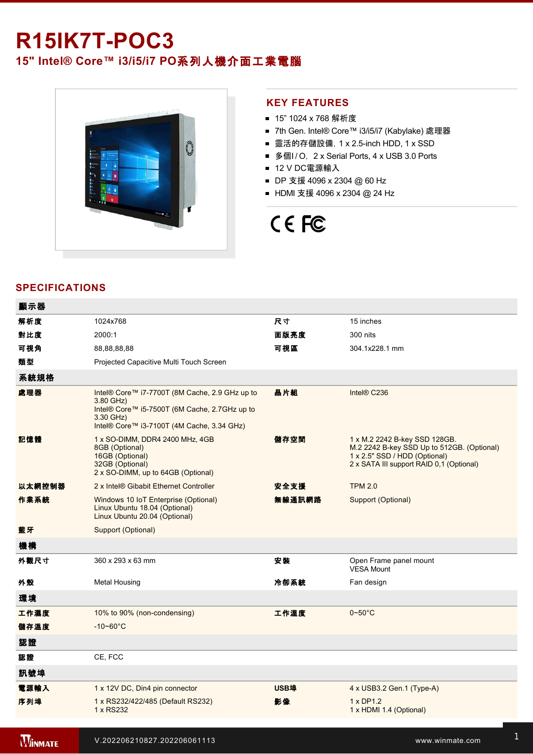## **R15IK7T-POC3**

### **15" Intel® Core™ i3/i5/i7 PO**系列人機介面工業電腦



### **KEY FEATURES**

- 15" 1024 x 768 解析度
- 7th Gen. Intel® Core™ i3/i5/i7 (Kabylake) 處理器
- 靈活的存儲設備, 1 x 2.5-inch HDD, 1 x SSD
- 多個I/O, 2 x Serial Ports, 4 x USB 3.0 Ports
- 12 V DC電源輸入
- DP 支援 4096 x 2304 @ 60 Hz
- HDMI 支援 4096 x 2304 @ 24 Hz

# CE FC

### **SPECIFICATIONS**

| 顯示器    |                                                                                                                                                                         |             |                                                                                                                                                          |
|--------|-------------------------------------------------------------------------------------------------------------------------------------------------------------------------|-------------|----------------------------------------------------------------------------------------------------------------------------------------------------------|
| 解析度    | 1024x768                                                                                                                                                                | 尺寸          | 15 inches                                                                                                                                                |
| 對比度    | 2000:1                                                                                                                                                                  | 面版亮度        | 300 nits                                                                                                                                                 |
| 可視角    | 88,88,88,88                                                                                                                                                             | 可視區         | 304.1x228.1 mm                                                                                                                                           |
| 類型     | Projected Capacitive Multi Touch Screen                                                                                                                                 |             |                                                                                                                                                          |
| 系統規格   |                                                                                                                                                                         |             |                                                                                                                                                          |
| 處理器    | Intel® Core™ i7-7700T (8M Cache, 2.9 GHz up to<br>3.80 GHz)<br>Intel® Core™ i5-7500T (6M Cache, 2.7GHz up to<br>3.30 GHz)<br>Intel® Core™ i3-7100T (4M Cache, 3.34 GHz) | 晶片組         | Intel® C236                                                                                                                                              |
| 記憶體    | 1 x SO-DIMM, DDR4 2400 MHz, 4GB<br>8GB (Optional)<br>16GB (Optional)<br>32GB (Optional)<br>2 x SO-DIMM, up to 64GB (Optional)                                           | 儲存空間        | 1 x M.2 2242 B-key SSD 128GB.<br>M.2 2242 B-key SSD Up to 512GB. (Optional)<br>1 x 2.5" SSD / HDD (Optional)<br>2 x SATA III support RAID 0,1 (Optional) |
| 以太網控制器 | 2 x Intel® Gibabit Ethernet Controller                                                                                                                                  | 安全支援        | <b>TPM 2.0</b>                                                                                                                                           |
| 作業系統   | Windows 10 IoT Enterprise (Optional)<br>Linux Ubuntu 18.04 (Optional)<br>Linux Ubuntu 20.04 (Optional)                                                                  | 無線通訊網路      | Support (Optional)                                                                                                                                       |
| 藍牙     | Support (Optional)                                                                                                                                                      |             |                                                                                                                                                          |
| 機構     |                                                                                                                                                                         |             |                                                                                                                                                          |
| 外觀尺寸   | 360 x 293 x 63 mm                                                                                                                                                       | 安装          | Open Frame panel mount<br><b>VESA Mount</b>                                                                                                              |
| 外殼     | <b>Metal Housing</b>                                                                                                                                                    | 冷卻系統        | Fan design                                                                                                                                               |
| 環境     |                                                                                                                                                                         |             |                                                                                                                                                          |
| 工作濕度   | 10% to 90% (non-condensing)                                                                                                                                             | 工作溫度        | $0 - 50^{\circ}$ C                                                                                                                                       |
| 儲存溫度   | $-10 - 60^{\circ}$ C                                                                                                                                                    |             |                                                                                                                                                          |
| 認證     |                                                                                                                                                                         |             |                                                                                                                                                          |
| 認證     | CE, FCC                                                                                                                                                                 |             |                                                                                                                                                          |
| 訊號埠    |                                                                                                                                                                         |             |                                                                                                                                                          |
| 電源輸入   | 1 x 12V DC, Din4 pin connector                                                                                                                                          | <b>USB埠</b> | 4 x USB3.2 Gen.1 (Type-A)                                                                                                                                |
| 序列埠    | 1 x RS232/422/485 (Default RS232)<br>1 x RS232                                                                                                                          | 影像          | 1 x DP1.2<br>1 x HDMI 1.4 (Optional)                                                                                                                     |
|        |                                                                                                                                                                         |             |                                                                                                                                                          |

**WINMATE** 

有線網路 2 x Giga LAN RJ45 Connector 指示燈 1 x LED Indicator for power